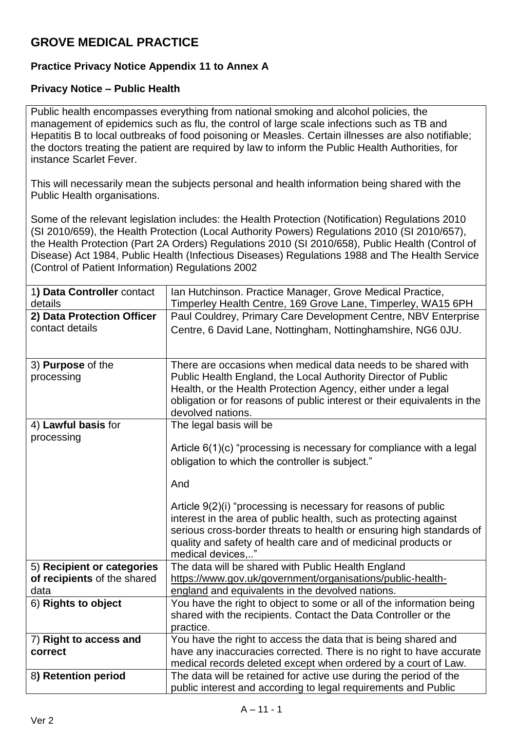## **GROVE MEDICAL PRACTICE**

## **Practice Privacy Notice Appendix 11 to Annex A**

## **Privacy Notice – Public Health**

Public health encompasses everything from national smoking and alcohol policies, the management of epidemics such as flu, the control of large scale infections such as TB and Hepatitis B to local outbreaks of food poisoning or Measles. Certain illnesses are also notifiable; the doctors treating the patient are required by law to inform the Public Health Authorities, for instance Scarlet Fever.

This will necessarily mean the subjects personal and health information being shared with the Public Health organisations.

Some of the relevant legislation includes: the Health Protection [\(Notification\)](http://www.legislation.gov.uk/uksi/2010/659/contents/made) Regulations 2010 (SI [2010/659\),](http://www.legislation.gov.uk/uksi/2010/659/contents/made) the Health Protection (Local Authority Powers) [Regulations](http://www.legislation.gov.uk/uksi/2010/657/contents/made) 2010 (SI 2010/657), the Health Protection (Part 2A Orders) [Regulations](http://www.legislation.gov.uk/uksi/2010/658/contents/made) 2010 (SI 2010/658), Public Health [\(Control](https://www.legislation.gov.uk/ukpga/1984/22) of [Disease\)](https://www.legislation.gov.uk/ukpga/1984/22) Act 1984, Public Health (Infectious Diseases) [Regulations](http://www.legislation.gov.uk/uksi/1988/1546/contents/made) 1988 and [The Health Service](http://www.legislation.gov.uk/uksi/2002/1438/regulation/3/made)  [\(Control of Patient Information\) Regulations 2002](http://www.legislation.gov.uk/uksi/2002/1438/regulation/3/made)

| 1) Data Controller contact<br>details | Ian Hutchinson. Practice Manager, Grove Medical Practice,<br>Timperley Health Centre, 169 Grove Lane, Timperley, WA15 6PH           |
|---------------------------------------|-------------------------------------------------------------------------------------------------------------------------------------|
| 2) Data Protection Officer            | Paul Couldrey, Primary Care Development Centre, NBV Enterprise                                                                      |
| contact details                       | Centre, 6 David Lane, Nottingham, Nottinghamshire, NG6 0JU.                                                                         |
|                                       |                                                                                                                                     |
|                                       |                                                                                                                                     |
| 3) Purpose of the                     | There are occasions when medical data needs to be shared with                                                                       |
| processing                            | Public Health England, the Local Authority Director of Public                                                                       |
|                                       | Health, or the Health Protection Agency, either under a legal                                                                       |
|                                       | obligation or for reasons of public interest or their equivalents in the                                                            |
|                                       | devolved nations.                                                                                                                   |
|                                       |                                                                                                                                     |
| 4) Lawful basis for                   | The legal basis will be                                                                                                             |
| processing                            | Article $6(1)(c)$ "processing is necessary for compliance with a legal                                                              |
|                                       |                                                                                                                                     |
|                                       | obligation to which the controller is subject."                                                                                     |
|                                       | And                                                                                                                                 |
|                                       |                                                                                                                                     |
|                                       |                                                                                                                                     |
|                                       |                                                                                                                                     |
|                                       | Article 9(2)(i) "processing is necessary for reasons of public                                                                      |
|                                       | interest in the area of public health, such as protecting against                                                                   |
|                                       | serious cross-border threats to health or ensuring high standards of                                                                |
|                                       | quality and safety of health care and of medicinal products or                                                                      |
|                                       | medical devices,"                                                                                                                   |
| 5) Recipient or categories            | The data will be shared with Public Health England                                                                                  |
| of recipients of the shared           | https://www.gov.uk/government/organisations/public-health-                                                                          |
| data                                  | england and equivalents in the devolved nations.                                                                                    |
| 6) Rights to object                   | You have the right to object to some or all of the information being                                                                |
|                                       |                                                                                                                                     |
|                                       | shared with the recipients. Contact the Data Controller or the<br>practice.                                                         |
| 7) Right to access and                | You have the right to access the data that is being shared and                                                                      |
| correct                               | have any inaccuracies corrected. There is no right to have accurate                                                                 |
|                                       |                                                                                                                                     |
| 8) Retention period                   | medical records deleted except when ordered by a court of Law.<br>The data will be retained for active use during the period of the |